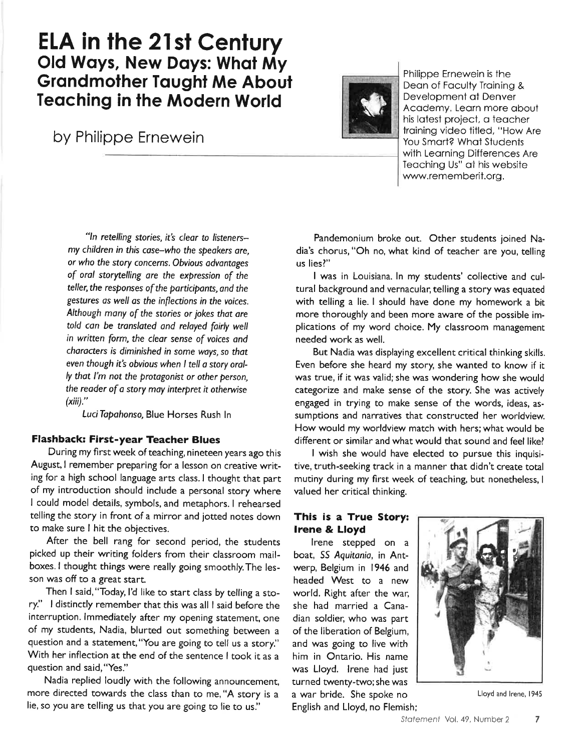# ELA in the 21st Century Old Ways, New Days: What My **Grandmother Taught Me About Teaching in the Modern World**

by Philippe Ernewein



Philippe Ernewein is the Deon of Foculty Troining & Development of Denver Academy, Learn more about his lotest project, o teocher troining video fitled, "How Are You Smart? What Students with Leorning Differences Are Teaching Us" at his website www.rememberit.org.

"In retelling stories, it's clear to listenersmy children in this cose-who the speokers ore, or who the story concerns. Obvious odvontoges of orol storytelling ore the expression of the teller, the responses of the participants, and the gestures as well as the inflections in the voices. Although many of the stories or jokes that are told can be translated and relayed fairly well in written form, the cleor sense of voices ond chorocters is diminished in some ways, so thot even though it's obvious when I tell a story orally thot I'm not the protogonist or other person, the reader of a story may interpret it otherwise  $(xiii)$ ."

Luci Tapahonso, Blue Horses Rush In

#### Flashback: First-year Teacher Blues

During my fìrst week of teaching, nineteen years ago this August, I remember preparing for a lesson on creative writing for a high school language arts class. I thought that part of my introduction should include a personal story where I could model details, symbols, and metaphors. I rehearsed telling the story in front of a mirror and jotted notes down to make sure I hit the objectives.

After the bell rang for second period, the students picked up their writing folders from their classroom mailboxes.l thought things were really going smoothly.The lesson was off to a great start.

Then I said, "Today, I'd like to start class by telling a story:' I distinctly remember that this was all I said before the interruption. lmmediately after my opening statement, one of my students, Nadia, blurted out something between <sup>a</sup> guestion and a statement,"You are going to tell us a story." With her inflection at the end of the sentence I took it as a question and said, "Yes."

Nadia replied loudly with the following announcement, more directed towards the class than to me, "A story is <sup>a</sup> lie, so you are telling us that you are going to lie to us."

Pandemonium broke out. Other students joined Nadia's chorus, "Oh no, what kind of teacher are you, telling us lies?"

I was in Louisiana. ln my students' collective and cultural background and vernacular, telling a story was equated with telling a lie. I should have done my homework a bit more thoroughly and been more aware of the possible implications of my word choice. My classroom management needed work as well.

But Nadia was displaying excellent critical thinking skills. Even before she heard my story, she wanted to know if it was true, if it was valid; she was wondering how she would categorize and make sense of the story. She was actively engaged in trying to make sense of the words, ideas, assumptions and narratives that constructed her worldview. How would my worldview match with hers;what would be different or similar and what would that sound and feel like!

I wish she would have elected to pursue this inquisi. tive, truth-seeking track in a manner that didn't create total mutiny during my fìrst week of teaching, but nonetheless, <sup>I</sup> valued her critical thinking.

### This is a True Story: lrene & Lloyd

lrene stepped on <sup>a</sup> boat, SS Aquitania, in Antwerp, Belgium in 1946 and headed West to a new world. Right after the war, she had married a Canadian soldier; who was part of the liberation of Belgium, and was going to live with him in Ontario. His name was Lloyd. lrene had just turned twenty-two; she was a war bride. She spoke no English and Lloyd, no Flemish;



Lloyd and lrene, 1945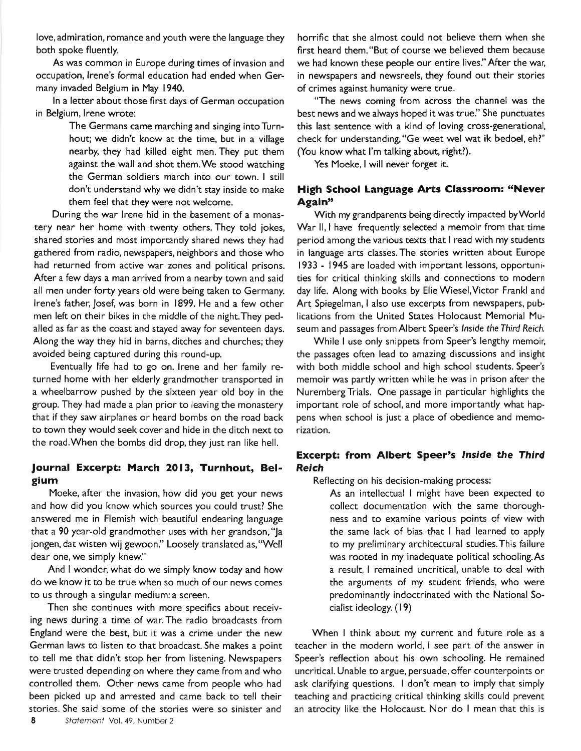love, admiration, romance and youth were the language they both spoke fluently.

As was common in Europe during times of invasion and occupation, lrene's formal education had ended when Germany invaded Belgium in May 1940.

ln a letter about those fìrst days of German occupation in Belgium, lrene wrote:

> The Germans came marching and singing into Turnhout; we didn't know at the time, but in a village nearby, they had killed eight men. They put them against the wall and shot them.We stood watching the German soldiers march into our town. I still don't understand why we didn't stay inside to make them feel that they were not welcome.

During the war lrene hid in the basement of a monastery near her home with twenty others. They told jokes, shared stories and most importantly shared news they had gathered from radio, newspapers, neighbors and those who had returned from active war zones and political prisons. After a few days a man arrived from a nearby town and said all men under forty years old were being taken to Germany. lrene's father, Josef, was born in 1899. He and a few other men left on their bikes in the middle of the night.They pedalled as far as the coast and stayed away for seventeen days. Along the way they hid in barns, ditches and churches; they avoided being captured during this round-up.

Eventually life had to go on. lrene and her family returned home with her elderly grandmother transported in a wheelbarrow pushed by the sixteen year old boy in the group, They had made a plan prior to leaving the monastery that if they saw airplanes or heard bombs on the road back to town they would seek cover and hide in the ditch next to the road.When the bombs did drop, they just ran like hell.

# Journal Excerpt: March 2013, Turnhout, Belgium

Moeke, after the invasion, how did you get your news and how did you know which sources you could trust? She answered me in Flemish with beautiful endearing language that a 90 year-old grandmother uses with her grandson,'Ja jongen, dat wisten wij gewoon." Loosely translated as,"Well dear one, we simply knew."

And I wonder, what do we simply know today and how do we know it to be true when so much of our news comes to us through a singular medium: a screen,

Then she continues with more specifìcs about receiving news during a time of war.The radio broadcasts from England were the best, but it was a crime under the new German laws to listen to that broadcast. She makes a point to tell me that didn't stop her from listening. Newspapers were trusted depending on where they came from and who controlled them. Other news came from people who had been picked up and arrested and came back to tell their stories. She said some of the stories were so sinister and

horrific that she almost could not believe them when she fìrst heard them."But of course we believed them because we had known these people our entire lives." After the war; in newspapers and newsreels, they found out their stories of crimes against humanity were true.

"The news coming from across the channel was the best news and we always hoped it was true." She punctuates this last sentence with a kind of loving cross-generational, check for understanding, "Ge weet wel wat ik bedoel, eh?" (You know what I'm talking about, right?).

Yes Moeke, I will never forget it.

# High School Language Arts Classroom: "Never Again"

With my grandparents being directly impacted byWorld War II, I have frequently selected a memoir from that time period among the various texts that I read with my students in language arts classes. The stories written about Europe 1933 - 1945 are loaded with important lessons, opportunities for critical thinking skills and connections to modern day life. Along with books by Elie Wiesel,Victor Frankl and Art Spiegelman, I also use excerpts from newspapers, publications from the United States Holocaust Memorial Museum and passages from Albert Speer's lnside the Third Reich.

While I use only snippets from Speer's lengthy memoir, the passages often lead to amazing discussions and insight with both middle school and high school students. Speer's memoir was partly written while he was in prison after the NurembergTrials. One passage in particular highlights the important role of school, and more importantly what happens when school is just a place of obedience and memorization.

# Excerpt: from Albert Speer's lnside the Third Reich

Reflecting on his decision-making process:

As an intellectual I might have been expected to collect documentation with the same thoroughness and to examine various points of view with the same lack of bias that I had learned to apply to my preliminary architectural studies.This failure was rooted in my inadequate political schooling.As a result, I remained uncritical, unable to deal with the arguments of my student friends, who were predominantly indoctrinated with the National Socialist ideology, (19)

When I think about my current and future role as a teacher in the modern world, I see part of the answer in Speer's reflection about his own schooling. He remained uncritical. Unable to argue, persuade, offer counterpoints or ask clarifying questions. I don't mean to imply that simply teaching and practicing critical thinking skills could prevent an atrocity like the Holocaust. Nor do I mean that this is